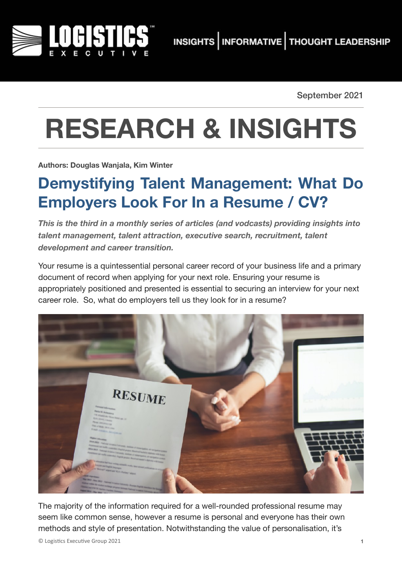

September 2021

## **RESEARCH & INSIGHTS**

**Authors: Douglas Wanjala, Kim Winter**

## **Demystifying Talent Management: What Do Employers Look For In a Resume / CV?**

*This is the third in a monthly series of articles (and vodcasts) providing insights into talent management, talent attraction, executive search, recruitment, talent development and career transition.* 

Your resume is a quintessential personal career record of your business life and a primary document of record when applying for your next role. Ensuring your resume is appropriately positioned and presented is essential to securing an interview for your next career role. So, what do employers tell us they look for in a resume?



The majority of the information required for a well-rounded professional resume may seem like common sense, however a resume is personal and everyone has their own methods and style of presentation. Notwithstanding the value of personalisation, it's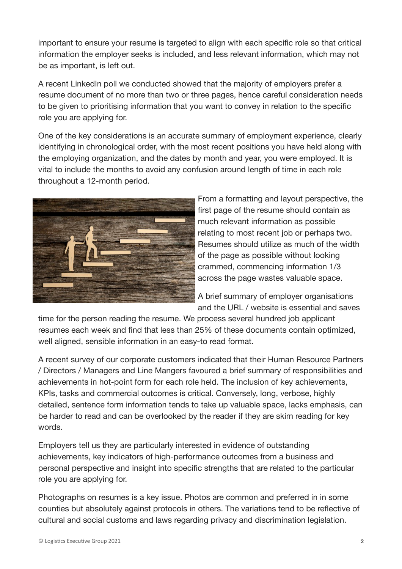important to ensure your resume is targeted to align with each specific role so that critical information the employer seeks is included, and less relevant information, which may not be as important, is left out.

A recent LinkedIn poll we conducted showed that the majority of employers prefer a resume document of no more than two or three pages, hence careful consideration needs to be given to prioritising information that you want to convey in relation to the specific role you are applying for.

One of the key considerations is an accurate summary of employment experience, clearly identifying in chronological order, with the most recent positions you have held along with the employing organization, and the dates by month and year, you were employed. It is vital to include the months to avoid any confusion around length of time in each role throughout a 12-month period.



From a formatting and layout perspective, the first page of the resume should contain as much relevant information as possible relating to most recent job or perhaps two. Resumes should utilize as much of the width of the page as possible without looking crammed, commencing information 1/3 across the page wastes valuable space.

A brief summary of employer organisations and the URL / website is essential and saves

time for the person reading the resume. We process several hundred job applicant resumes each week and find that less than 25% of these documents contain optimized, well aligned, sensible information in an easy-to read format.

A recent survey of our corporate customers indicated that their Human Resource Partners / Directors / Managers and Line Mangers favoured a brief summary of responsibilities and achievements in hot-point form for each role held. The inclusion of key achievements, KPIs, tasks and commercial outcomes is critical. Conversely, long, verbose, highly detailed, sentence form information tends to take up valuable space, lacks emphasis, can be harder to read and can be overlooked by the reader if they are skim reading for key words.

Employers tell us they are particularly interested in evidence of outstanding achievements, key indicators of high-performance outcomes from a business and personal perspective and insight into specific strengths that are related to the particular role you are applying for.

Photographs on resumes is a key issue. Photos are common and preferred in in some counties but absolutely against protocols in others. The variations tend to be reflective of cultural and social customs and laws regarding privacy and discrimination legislation.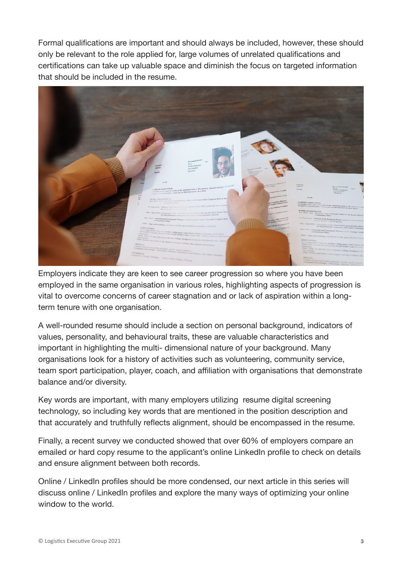Formal qualifications are important and should always be included, however, these should only be relevant to the role applied for, large volumes of unrelated qualifications and certifications can take up valuable space and diminish the focus on targeted information that should be included in the resume.



Employers indicate they are keen to see career progression so where you have been employed in the same organisation in various roles, highlighting aspects of progression is vital to overcome concerns of career stagnation and or lack of aspiration within a longterm tenure with one organisation.

A well-rounded resume should include a section on personal background, indicators of values, personality, and behavioural traits, these are valuable characteristics and important in highlighting the multi- dimensional nature of your background. Many organisations look for a history of activities such as volunteering, community service, team sport participation, player, coach, and affiliation with organisations that demonstrate balance and/or diversity.

Key words are important, with many employers utilizing resume digital screening technology, so including key words that are mentioned in the position description and that accurately and truthfully reflects alignment, should be encompassed in the resume.

Finally, a recent survey we conducted showed that over 60% of employers compare an emailed or hard copy resume to the applicant's online LinkedIn profile to check on details and ensure alignment between both records.

Online / LinkedIn profiles should be more condensed, our next article in this series will discuss online / LinkedIn profiles and explore the many ways of optimizing your online window to the world.